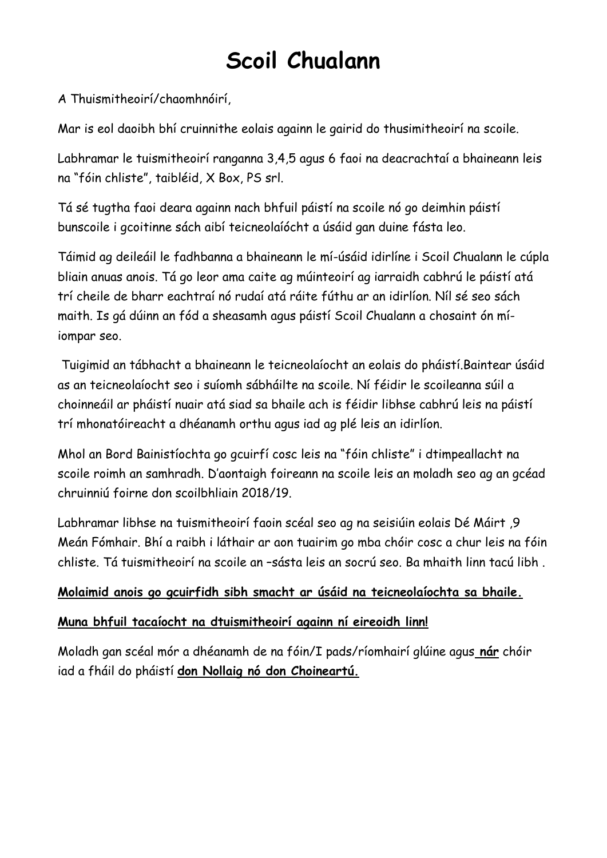# **Scoil Chualann**

A Thuismitheoirí/chaomhnóirí,

Mar is eol daoibh bhí cruinnithe eolais againn le gairid do thusimitheoirí na scoile.

Labhramar le tuismitheoirí ranganna 3,4,5 agus 6 faoi na deacrachtaí a bhaineann leis na "fóin chliste", taibléid, X Box, PS srl.

Tá sé tugtha faoi deara againn nach bhfuil páistí na scoile nó go deimhin páistí bunscoile i gcoitinne sách aibí teicneolaíócht a úsáid gan duine fásta leo.

Táimid ag deileáil le fadhbanna a bhaineann le mí-úsáid idirlíne i Scoil Chualann le cúpla bliain anuas anois. Tá go leor ama caite ag múinteoirí ag iarraidh cabhrú le páistí atá trí cheile de bharr eachtraí nó rudaí atá ráite fúthu ar an idirlíon. Níl sé seo sách maith. Is gá dúinn an fód a sheasamh agus páistí Scoil Chualann a chosaint ón míiompar seo.

Tuigimid an tábhacht a bhaineann le teicneolaíocht an eolais do pháistí.Baintear úsáid as an teicneolaíocht seo i suíomh sábháilte na scoile. Ní féidir le scoileanna súil a choinneáil ar pháistí nuair atá siad sa bhaile ach is féidir libhse cabhrú leis na páistí trí mhonatóireacht a dhéanamh orthu agus iad ag plé leis an idirlíon.

Mhol an Bord Bainistíochta go gcuirfí cosc leis na "fóin chliste" i dtimpeallacht na scoile roimh an samhradh. D'aontaigh foireann na scoile leis an moladh seo ag an gcéad chruinniú foirne don scoilbhliain 2018/19.

Labhramar libhse na tuismitheoirí faoin scéal seo ag na seisiúin eolais Dé Máirt ,9 Meán Fómhair. Bhí a raibh i láthair ar aon tuairim go mba chóir cosc a chur leis na fóin chliste. Tá tuismitheoirí na scoile an –sásta leis an socrú seo. Ba mhaith linn tacú libh .

#### **Molaimid anois go gcuirfidh sibh smacht ar úsáid na teicneolaíochta sa bhaile.**

#### **Muna bhfuil tacaíocht na dtuismitheoirí againn ní eireoidh linn!**

Moladh gan scéal mór a dhéanamh de na fóin/I pads/ríomhairí glúine agus **nár** chóir iad a fháil do pháistí **don Nollaig nó don Choineartú.**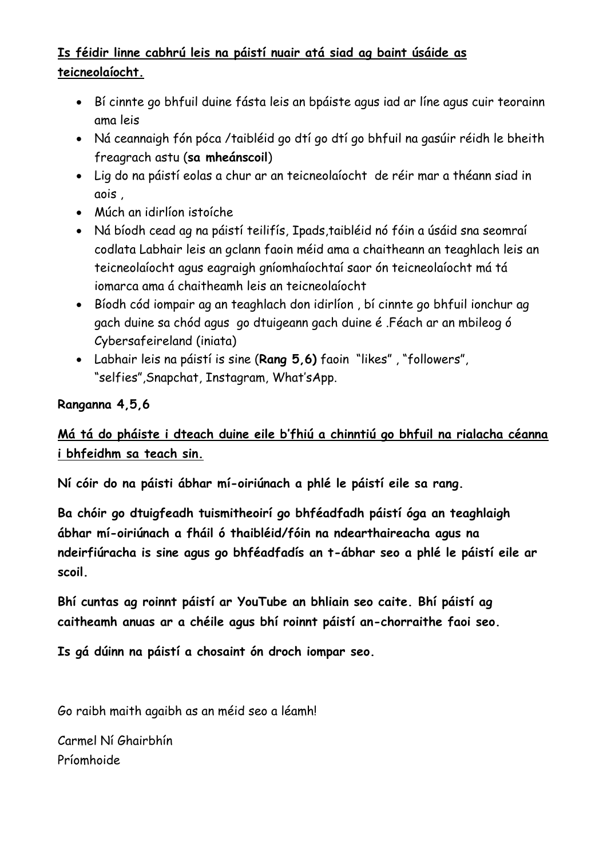## **Is féidir linne cabhrú leis na páistí nuair atá siad ag baint úsáide as teicneolaíocht.**

- Bí cinnte go bhfuil duine fásta leis an bpáiste agus iad ar líne agus cuir teorainn ama leis
- Ná ceannaigh fón póca /taibléid go dtí go dtí go bhfuil na gasúir réidh le bheith freagrach astu (**sa mheánscoil**)
- Lig do na páistí eolas a chur ar an teicneolaíocht de réir mar a théann siad in aois ,
- Múch an idirlíon istoíche
- Ná bíodh cead ag na páistí teilifís, Ipads,taibléid nó fóin a úsáid sna seomraí codlata Labhair leis an gclann faoin méid ama a chaitheann an teaghlach leis an teicneolaíocht agus eagraigh gníomhaíochtaí saor ón teicneolaíocht má tá iomarca ama á chaitheamh leis an teicneolaíocht
- Bíodh cód iompair ag an teaghlach don idirlíon , bí cinnte go bhfuil ionchur ag gach duine sa chód agus go dtuigeann gach duine é .Féach ar an mbileog ó Cybersafeireland (iniata)
- Labhair leis na páistí is sine (**Rang 5,6)** faoin "likes" , "followers", "selfies",Snapchat, Instagram, What'sApp.

#### **Ranganna 4,5,6**

## **Má tá do pháiste i dteach duine eile b'fhiú a chinntiú go bhfuil na rialacha céanna i bhfeidhm sa teach sin.**

**Ní cóir do na páisti ábhar mí-oiriúnach a phlé le páistí eile sa rang.**

**Ba chóir go dtuigfeadh tuismitheoirí go bhféadfadh páistí óga an teaghlaigh ábhar mí-oiriúnach a fháil ó thaibléid/fóin na ndearthaireacha agus na ndeirfiúracha is sine agus go bhféadfadís an t-ábhar seo a phlé le páistí eile ar scoil.**

**Bhí cuntas ag roinnt páistí ar YouTube an bhliain seo caite. Bhí páistí ag caitheamh anuas ar a chéile agus bhí roinnt páistí an-chorraithe faoi seo.**

**Is gá dúinn na páistí a chosaint ón droch iompar seo.** 

Go raibh maith agaibh as an méid seo a léamh!

Carmel Ní Ghairbhín Príomhoide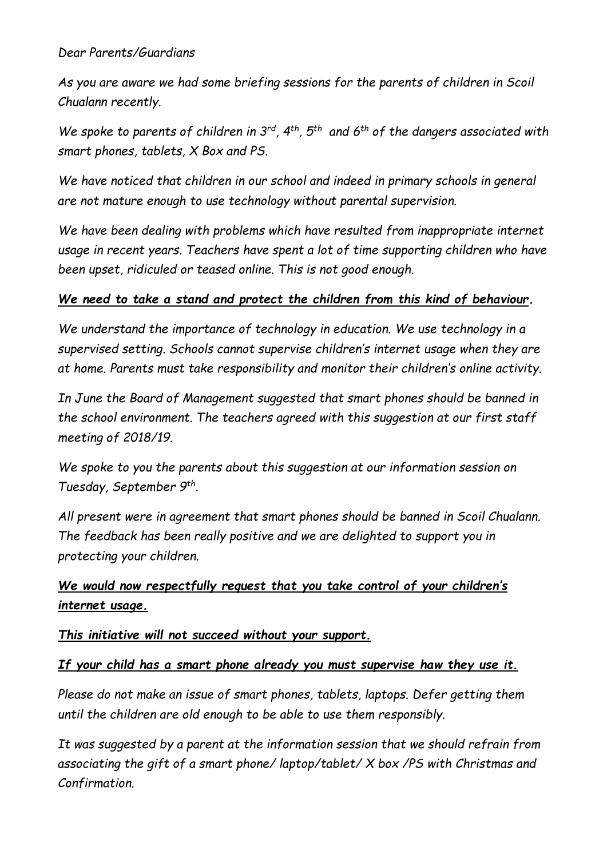#### *Dear Parents/Guardians*

*As you are aware we had some briefing sessions for the parents of children in Scoil Chualann recently.*

*We spoke to parents of children in 3rd, 4th, 5th and 6th of the dangers associated with smart phones, tablets, X Box and PS.*

*We have noticed that children in our school and indeed in primary schools in general are not mature enough to use technology without parental supervision.*

*We have been dealing with problems which have resulted from inappropriate internet usage in recent years. Teachers have spent a lot of time supporting children who have been upset, ridiculed or teased online. This is not good enough.* 

#### *We need to take a stand and protect the children from this kind of behaviour.*

*We understand the importance of technology in education. We use technology in a supervised setting. Schools cannot supervise children's internet usage when they are at home. Parents must take responsibility and monitor their children's online activity.* 

*In June the Board of Management suggested that smart phones should be banned in the school environment. The teachers agreed with this suggestion at our first staff meeting of 2018/19.*

*We spoke to you the parents about this suggestion at our information session on Tuesday, September 9th .*

*All present were in agreement that smart phones should be banned in Scoil Chualann. The feedback has been really positive and we are delighted to support you in protecting your children.*

### *We would now respectfully request that you take control of your children's internet usage.*

#### *This initiative will not succeed without your support.*

#### *If your child has a smart phone already you must supervise haw they use it.*

*Please do not make an issue of smart phones, tablets, laptops. Defer getting them until the children are old enough to be able to use them responsibly.*

*It was suggested by a parent at the information session that we should refrain from associating the gift of a smart phone/ laptop/tablet/ X box /PS with Christmas and Confirmation.*